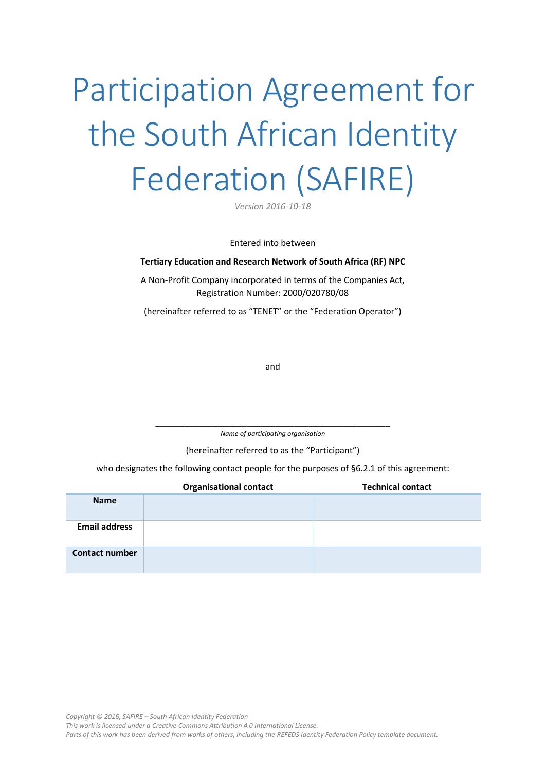# Participation Agreement for the South African Identity Federation (SAFIRE)

*Version 2016-10-18*

Entered into between

#### **Tertiary Education and Research Network of South Africa (RF) NPC**

A Non-Profit Company incorporated in terms of the Companies Act, Registration Number: 2000/020780/08

(hereinafter referred to as "TENET" or the "Federation Operator")

and

\_\_\_\_\_\_\_\_\_\_\_\_\_\_\_\_\_\_\_\_\_\_\_\_\_\_\_\_\_\_\_\_\_\_\_\_\_\_\_\_\_\_\_\_\_\_\_\_\_ *Name of participating organisation*

(hereinafter referred to as the "Participant")

who designates the following contact people for the purposes of [§6.2.1](#page-4-0) of this agreement:

|                       | <b>Organisational contact</b> | <b>Technical contact</b> |
|-----------------------|-------------------------------|--------------------------|
| <b>Name</b>           |                               |                          |
| <b>Email address</b>  |                               |                          |
| <b>Contact number</b> |                               |                          |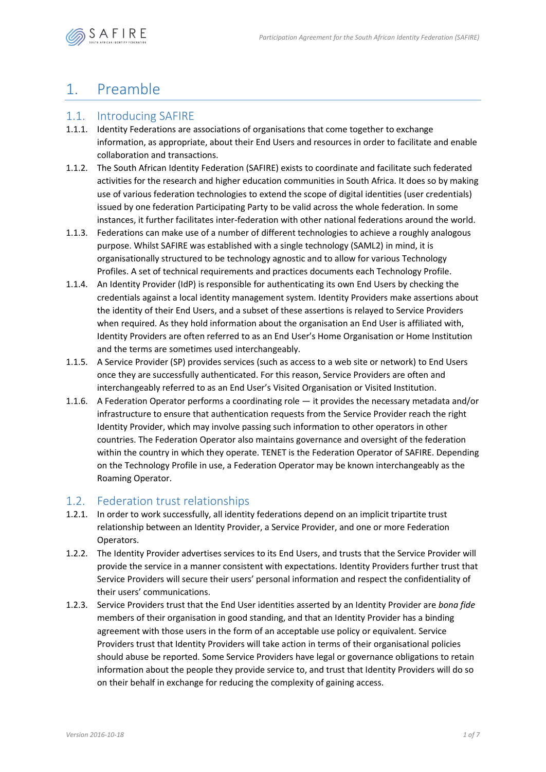

# 1. Preamble

### 1.1. Introducing SAFIRE

- 1.1.1. Identity Federations are associations of organisations that come together to exchange information, as appropriate, about their End Users and resources in order to facilitate and enable collaboration and transactions.
- 1.1.2. The South African Identity Federation (SAFIRE) exists to coordinate and facilitate such federated activities for the research and higher education communities in South Africa. It does so by making use of various federation technologies to extend the scope of digital identities (user credentials) issued by one federation Participating Party to be valid across the whole federation. In some instances, it further facilitates inter-federation with other national federations around the world.
- 1.1.3. Federations can make use of a number of different technologies to achieve a roughly analogous purpose. Whilst SAFIRE was established with a single technology (SAML2) in mind, it is organisationally structured to be technology agnostic and to allow for various Technology Profiles. A set of technical requirements and practices documents each Technology Profile.
- 1.1.4. An Identity Provider (IdP) is responsible for authenticating its own End Users by checking the credentials against a local identity management system. Identity Providers make assertions about the identity of their End Users, and a subset of these assertions is relayed to Service Providers when required. As they hold information about the organisation an End User is affiliated with, Identity Providers are often referred to as an End User's Home Organisation or Home Institution and the terms are sometimes used interchangeably.
- 1.1.5. A Service Provider (SP) provides services (such as access to a web site or network) to End Users once they are successfully authenticated. For this reason, Service Providers are often and interchangeably referred to as an End User's Visited Organisation or Visited Institution.
- 1.1.6. A Federation Operator performs a coordinating role it provides the necessary metadata and/or infrastructure to ensure that authentication requests from the Service Provider reach the right Identity Provider, which may involve passing such information to other operators in other countries. The Federation Operator also maintains governance and oversight of the federation within the country in which they operate. TENET is the Federation Operator of SAFIRE. Depending on the Technology Profile in use, a Federation Operator may be known interchangeably as the Roaming Operator.

### <span id="page-1-0"></span>1.2. Federation trust relationships

- 1.2.1. In order to work successfully, all identity federations depend on an implicit tripartite trust relationship between an Identity Provider, a Service Provider, and one or more Federation Operators.
- 1.2.2. The Identity Provider advertises services to its End Users, and trusts that the Service Provider will provide the service in a manner consistent with expectations. Identity Providers further trust that Service Providers will secure their users' personal information and respect the confidentiality of their users' communications.
- 1.2.3. Service Providers trust that the End User identities asserted by an Identity Provider are *bona fide* members of their organisation in good standing, and that an Identity Provider has a binding agreement with those users in the form of an acceptable use policy or equivalent. Service Providers trust that Identity Providers will take action in terms of their organisational policies should abuse be reported. Some Service Providers have legal or governance obligations to retain information about the people they provide service to, and trust that Identity Providers will do so on their behalf in exchange for reducing the complexity of gaining access.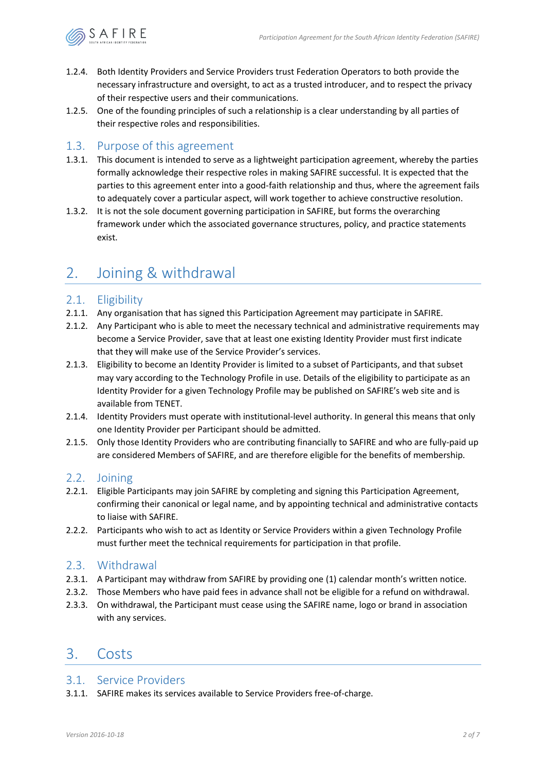

- 1.2.4. Both Identity Providers and Service Providers trust Federation Operators to both provide the necessary infrastructure and oversight, to act as a trusted introducer, and to respect the privacy of their respective users and their communications.
- 1.2.5. One of the founding principles of such a relationship is a clear understanding by all parties of their respective roles and responsibilities.

### 1.3. Purpose of this agreement

- 1.3.1. This document is intended to serve as a lightweight participation agreement, whereby the parties formally acknowledge their respective roles in making SAFIRE successful. It is expected that the parties to this agreement enter into a good-faith relationship and thus, where the agreement fails to adequately cover a particular aspect, will work together to achieve constructive resolution.
- 1.3.2. It is not the sole document governing participation in SAFIRE, but forms the overarching framework under which the associated governance structures, policy, and practice statements exist.

### 2. Joining & withdrawal

### 2.1. Eligibility

- 2.1.1. Any organisation that has signed this Participation Agreement may participate in SAFIRE.
- 2.1.2. Any Participant who is able to meet the necessary technical and administrative requirements may become a Service Provider, save that at least one existing Identity Provider must first indicate that they will make use of the Service Provider's services.
- 2.1.3. Eligibility to become an Identity Provider is limited to a subset of Participants, and that subset may vary according to the Technology Profile in use. Details of the eligibility to participate as an Identity Provider for a given Technology Profile may be published on SAFIRE's web site and is available from TENET.
- 2.1.4. Identity Providers must operate with institutional-level authority. In general this means that only one Identity Provider per Participant should be admitted.
- 2.1.5. Only those Identity Providers who are contributing financially to SAFIRE and who are fully-paid up are considered Members of SAFIRE, and are therefore eligible for the benefits of membership.

### 2.2. Joining

- 2.2.1. Eligible Participants may join SAFIRE by completing and signing this Participation Agreement, confirming their canonical or legal name, and by appointing technical and administrative contacts to liaise with SAFIRE.
- 2.2.2. Participants who wish to act as Identity or Service Providers within a given Technology Profile must further meet the technical requirements for participation in that profile.

### 2.3. Withdrawal

- 2.3.1. A Participant may withdraw from SAFIRE by providing one (1) calendar month's written notice.
- 2.3.2. Those Members who have paid fees in advance shall not be eligible for a refund on withdrawal.
- 2.3.3. On withdrawal, the Participant must cease using the SAFIRE name, logo or brand in association with any services.

### 3. Costs

### 3.1. Service Providers

3.1.1. SAFIRE makes its services available to Service Providers free-of-charge.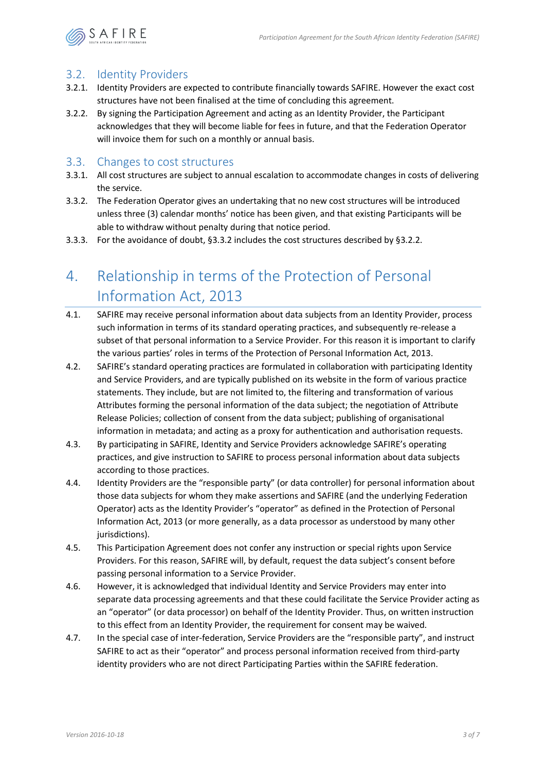

### 3.2. Identity Providers

- 3.2.1. Identity Providers are expected to contribute financially towards SAFIRE. However the exact cost structures have not been finalised at the time of concluding this agreement.
- <span id="page-3-1"></span>3.2.2. By signing the Participation Agreement and acting as an Identity Provider, the Participant acknowledges that they will become liable for fees in future, and that the Federation Operator will invoice them for such on a monthly or annual basis.

#### 3.3. Changes to cost structures

- 3.3.1. All cost structures are subject to annual escalation to accommodate changes in costs of delivering the service.
- <span id="page-3-0"></span>3.3.2. The Federation Operator gives an undertaking that no new cost structures will be introduced unless three (3) calendar months' notice has been given, and that existing Participants will be able to withdraw without penalty during that notice period.
- 3.3.3. For the avoidance of doubt, [§3.3.2](#page-3-0) includes the cost structures described by [§3.2.2.](#page-3-1)

# 4. Relationship in terms of the Protection of Personal Information Act, 2013

- 4.1. SAFIRE may receive personal information about data subjects from an Identity Provider, process such information in terms of its standard operating practices, and subsequently re-release a subset of that personal information to a Service Provider. For this reason it is important to clarify the various parties' roles in terms of the Protection of Personal Information Act, 2013.
- 4.2. SAFIRE's standard operating practices are formulated in collaboration with participating Identity and Service Providers, and are typically published on its website in the form of various practice statements. They include, but are not limited to, the filtering and transformation of various Attributes forming the personal information of the data subject; the negotiation of Attribute Release Policies; collection of consent from the data subject; publishing of organisational information in metadata; and acting as a proxy for authentication and authorisation requests.
- 4.3. By participating in SAFIRE, Identity and Service Providers acknowledge SAFIRE's operating practices, and give instruction to SAFIRE to process personal information about data subjects according to those practices.
- 4.4. Identity Providers are the "responsible party" (or data controller) for personal information about those data subjects for whom they make assertions and SAFIRE (and the underlying Federation Operator) acts as the Identity Provider's "operator" as defined in the Protection of Personal Information Act, 2013 (or more generally, as a data processor as understood by many other jurisdictions).
- 4.5. This Participation Agreement does not confer any instruction or special rights upon Service Providers. For this reason, SAFIRE will, by default, request the data subject's consent before passing personal information to a Service Provider.
- 4.6. However, it is acknowledged that individual Identity and Service Providers may enter into separate data processing agreements and that these could facilitate the Service Provider acting as an "operator" (or data processor) on behalf of the Identity Provider. Thus, on written instruction to this effect from an Identity Provider, the requirement for consent may be waived.
- 4.7. In the special case of inter-federation, Service Providers are the "responsible party", and instruct SAFIRE to act as their "operator" and process personal information received from third-party identity providers who are not direct Participating Parties within the SAFIRE federation.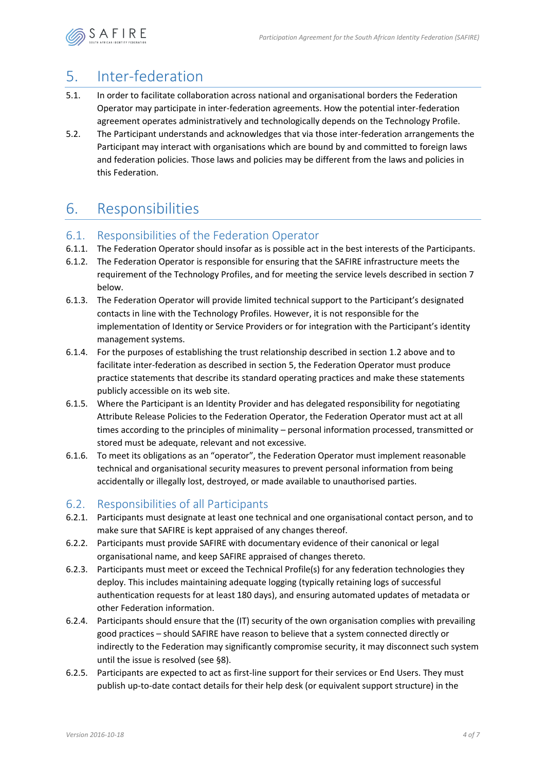

# <span id="page-4-1"></span>5. Inter-federation

- 5.1. In order to facilitate collaboration across national and organisational borders the Federation Operator may participate in inter-federation agreements. How the potential inter-federation agreement operates administratively and technologically depends on the Technology Profile.
- 5.2. The Participant understands and acknowledges that via those inter-federation arrangements the Participant may interact with organisations which are bound by and committed to foreign laws and federation policies. Those laws and policies may be different from the laws and policies in this Federation.

# 6. Responsibilities

### 6.1. Responsibilities of the Federation Operator

- 6.1.1. The Federation Operator should insofar as is possible act in the best interests of the Participants.
- 6.1.2. The Federation Operator is responsible for ensuring that the SAFIRE infrastructure meets the requirement of the Technology Profiles, and for meeting the service levels described in section [7](#page-6-0)  [below.](#page-6-0)
- 6.1.3. The Federation Operator will provide limited technical support to the Participant's designated contacts in line with the Technology Profiles. However, it is not responsible for the implementation of Identity or Service Providers or for integration with the Participant's identity management systems.
- 6.1.4. For the purposes of establishing the trust relationship described in sectio[n 1.2 above](#page-1-0) and to facilitate inter-federation as described in section [5,](#page-4-1) the Federation Operator must produce practice statements that describe its standard operating practices and make these statements publicly accessible on its web site.
- 6.1.5. Where the Participant is an Identity Provider and has delegated responsibility for negotiating Attribute Release Policies to the Federation Operator, the Federation Operator must act at all times according to the principles of minimality – personal information processed, transmitted or stored must be adequate, relevant and not excessive.
- 6.1.6. To meet its obligations as an "operator", the Federation Operator must implement reasonable technical and organisational security measures to prevent personal information from being accidentally or illegally lost, destroyed, or made available to unauthorised parties.

### 6.2. Responsibilities of all Participants

- <span id="page-4-0"></span>6.2.1. Participants must designate at least one technical and one organisational contact person, and to make sure that SAFIRE is kept appraised of any changes thereof.
- 6.2.2. Participants must provide SAFIRE with documentary evidence of their canonical or legal organisational name, and keep SAFIRE appraised of changes thereto.
- 6.2.3. Participants must meet or exceed the Technical Profile(s) for any federation technologies they deploy. This includes maintaining adequate logging (typically retaining logs of successful authentication requests for at least 180 days), and ensuring automated updates of metadata or other Federation information.
- 6.2.4. Participants should ensure that the (IT) security of the own organisation complies with prevailing good practices – should SAFIRE have reason to believe that a system connected directly or indirectly to the Federation may significantly compromise security, it may disconnect such system until the issue is resolved (see [§8\)](#page-6-1).
- 6.2.5. Participants are expected to act as first-line support for their services or End Users. They must publish up-to-date contact details for their help desk (or equivalent support structure) in the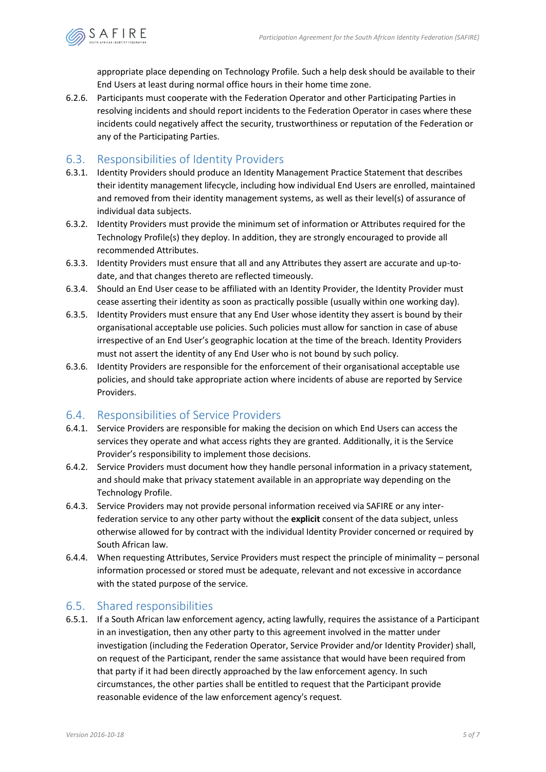

appropriate place depending on Technology Profile. Such a help desk should be available to their End Users at least during normal office hours in their home time zone.

6.2.6. Participants must cooperate with the Federation Operator and other Participating Parties in resolving incidents and should report incidents to the Federation Operator in cases where these incidents could negatively affect the security, trustworthiness or reputation of the Federation or any of the Participating Parties.

### 6.3. Responsibilities of Identity Providers

- 6.3.1. Identity Providers should produce an Identity Management Practice Statement that describes their identity management lifecycle, including how individual End Users are enrolled, maintained and removed from their identity management systems, as well as their level(s) of assurance of individual data subjects.
- 6.3.2. Identity Providers must provide the minimum set of information or Attributes required for the Technology Profile(s) they deploy. In addition, they are strongly encouraged to provide all recommended Attributes.
- 6.3.3. Identity Providers must ensure that all and any Attributes they assert are accurate and up-todate, and that changes thereto are reflected timeously.
- 6.3.4. Should an End User cease to be affiliated with an Identity Provider, the Identity Provider must cease asserting their identity as soon as practically possible (usually within one working day).
- 6.3.5. Identity Providers must ensure that any End User whose identity they assert is bound by their organisational acceptable use policies. Such policies must allow for sanction in case of abuse irrespective of an End User's geographic location at the time of the breach. Identity Providers must not assert the identity of any End User who is not bound by such policy.
- 6.3.6. Identity Providers are responsible for the enforcement of their organisational acceptable use policies, and should take appropriate action where incidents of abuse are reported by Service Providers.

### 6.4. Responsibilities of Service Providers

- 6.4.1. Service Providers are responsible for making the decision on which End Users can access the services they operate and what access rights they are granted. Additionally, it is the Service Provider's responsibility to implement those decisions.
- 6.4.2. Service Providers must document how they handle personal information in a privacy statement, and should make that privacy statement available in an appropriate way depending on the Technology Profile.
- 6.4.3. Service Providers may not provide personal information received via SAFIRE or any interfederation service to any other party without the **explicit** consent of the data subject, unless otherwise allowed for by contract with the individual Identity Provider concerned or required by South African law.
- 6.4.4. When requesting Attributes, Service Providers must respect the principle of minimality personal information processed or stored must be adequate, relevant and not excessive in accordance with the stated purpose of the service.

### 6.5. Shared responsibilities

6.5.1. If a South African law enforcement agency, acting lawfully, requires the assistance of a Participant in an investigation, then any other party to this agreement involved in the matter under investigation (including the Federation Operator, Service Provider and/or Identity Provider) shall, on request of the Participant, render the same assistance that would have been required from that party if it had been directly approached by the law enforcement agency. In such circumstances, the other parties shall be entitled to request that the Participant provide reasonable evidence of the law enforcement agency's request.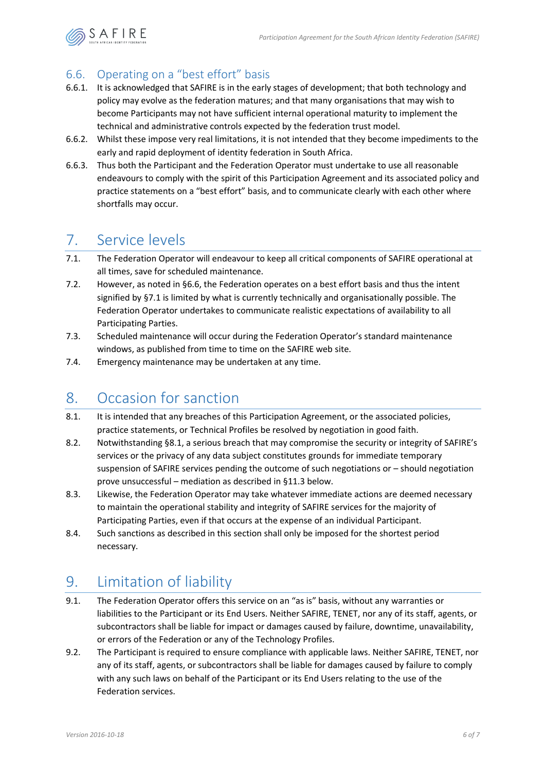

### <span id="page-6-2"></span>6.6. Operating on a "best effort" basis

- 6.6.1. It is acknowledged that SAFIRE is in the early stages of development; that both technology and policy may evolve as the federation matures; and that many organisations that may wish to become Participants may not have sufficient internal operational maturity to implement the technical and administrative controls expected by the federation trust model.
- 6.6.2. Whilst these impose very real limitations, it is not intended that they become impediments to the early and rapid deployment of identity federation in South Africa.
- 6.6.3. Thus both the Participant and the Federation Operator must undertake to use all reasonable endeavours to comply with the spirit of this Participation Agreement and its associated policy and practice statements on a "best effort" basis, and to communicate clearly with each other where shortfalls may occur.

# <span id="page-6-0"></span>7. Service levels

- <span id="page-6-3"></span>7.1. The Federation Operator will endeavour to keep all critical components of SAFIRE operational at all times, save for scheduled maintenance.
- 7.2. However, as noted in [§6.6,](#page-6-2) the Federation operates on a best effort basis and thus the intent signified by [§7.1](#page-6-3) is limited by what is currently technically and organisationally possible. The Federation Operator undertakes to communicate realistic expectations of availability to all Participating Parties.
- 7.3. Scheduled maintenance will occur during the Federation Operator's standard maintenance windows, as published from time to time on the SAFIRE web site.
- 7.4. Emergency maintenance may be undertaken at any time.

# <span id="page-6-1"></span>8. Occasion for sanction

- <span id="page-6-4"></span>8.1. It is intended that any breaches of this Participation Agreement, or the associated policies, practice statements, or Technical Profiles be resolved by negotiation in good faith.
- 8.2. Notwithstanding [§8.1,](#page-6-4) a serious breach that may compromise the security or integrity of SAFIRE's services or the privacy of any data subject constitutes grounds for immediate temporary suspension of SAFIRE services pending the outcome of such negotiations or – should negotiation prove unsuccessful – mediation as described in [§11.3 below.](#page-7-0)
- 8.3. Likewise, the Federation Operator may take whatever immediate actions are deemed necessary to maintain the operational stability and integrity of SAFIRE services for the majority of Participating Parties, even if that occurs at the expense of an individual Participant.
- 8.4. Such sanctions as described in this section shall only be imposed for the shortest period necessary.

# 9. Limitation of liability

- 9.1. The Federation Operator offers this service on an "as is" basis, without any warranties or liabilities to the Participant or its End Users. Neither SAFIRE, TENET, nor any of its staff, agents, or subcontractors shall be liable for impact or damages caused by failure, downtime, unavailability, or errors of the Federation or any of the Technology Profiles.
- 9.2. The Participant is required to ensure compliance with applicable laws. Neither SAFIRE, TENET, nor any of its staff, agents, or subcontractors shall be liable for damages caused by failure to comply with any such laws on behalf of the Participant or its End Users relating to the use of the Federation services.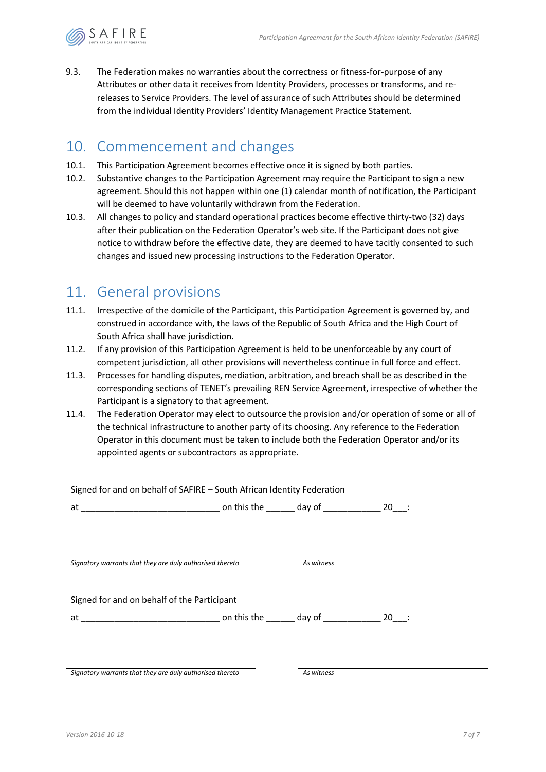

9.3. The Federation makes no warranties about the correctness or fitness-for-purpose of any Attributes or other data it receives from Identity Providers, processes or transforms, and rereleases to Service Providers. The level of assurance of such Attributes should be determined from the individual Identity Providers' Identity Management Practice Statement.

### 10. Commencement and changes

- 10.1. This Participation Agreement becomes effective once it is signed by both parties.
- 10.2. Substantive changes to the Participation Agreement may require the Participant to sign a new agreement. Should this not happen within one (1) calendar month of notification, the Participant will be deemed to have voluntarily withdrawn from the Federation.
- 10.3. All changes to policy and standard operational practices become effective thirty-two (32) days after their publication on the Federation Operator's web site. If the Participant does not give notice to withdraw before the effective date, they are deemed to have tacitly consented to such changes and issued new processing instructions to the Federation Operator.

# 11. General provisions

- 11.1. Irrespective of the domicile of the Participant, this Participation Agreement is governed by, and construed in accordance with, the laws of the Republic of South Africa and the High Court of South Africa shall have jurisdiction.
- 11.2. If any provision of this Participation Agreement is held to be unenforceable by any court of competent jurisdiction, all other provisions will nevertheless continue in full force and effect.
- <span id="page-7-0"></span>11.3. Processes for handling disputes, mediation, arbitration, and breach shall be as described in the corresponding sections of TENET's prevailing REN Service Agreement, irrespective of whether the Participant is a signatory to that agreement.
- 11.4. The Federation Operator may elect to outsource the provision and/or operation of some or all of the technical infrastructure to another party of its choosing. Any reference to the Federation Operator in this document must be taken to include both the Federation Operator and/or its appointed agents or subcontractors as appropriate.

| Signed for and on behalf of SAFIRE – South African Identity Federation |            |  |
|------------------------------------------------------------------------|------------|--|
|                                                                        |            |  |
|                                                                        |            |  |
|                                                                        |            |  |
|                                                                        |            |  |
| Signatory warrants that they are duly authorised thereto               | As witness |  |
|                                                                        |            |  |
| Signed for and on behalf of the Participant                            |            |  |
|                                                                        |            |  |
|                                                                        |            |  |
|                                                                        |            |  |
|                                                                        |            |  |

*Signatory warrants that they are duly authorised thereto As witness*